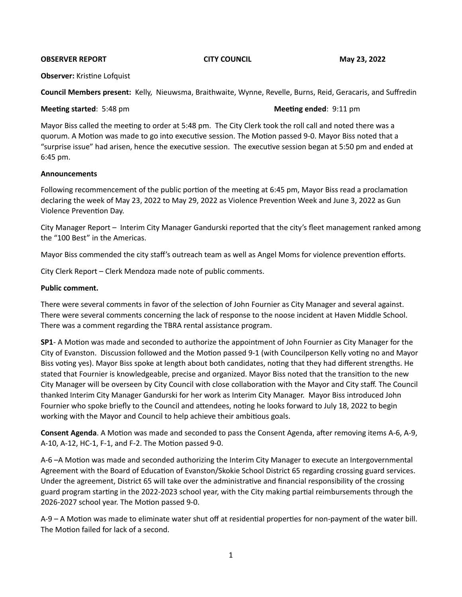### **OBSERVER REPORT CITY COUNCIL May 23, 2022**

### **Observer:** Kristine Lofquist

**Council Members present:** Kelly, Nieuwsma, Braithwaite, Wynne, Revelle, Burns, Reid, Geracaris, and Suffredin

# **Meeting started**: 5:48 pm **Meeting ended**: 9:11 pm

Mayor Biss called the meeting to order at 5:48 pm. The City Clerk took the roll call and noted there was a quorum. A Motion was made to go into executive session. The Motion passed 9-0. Mayor Biss noted that a "surprise issue" had arisen, hence the executive session. The executive session began at 5:50 pm and ended at 6:45 pm.

## **Announcements**

Following recommencement of the public portion of the meeting at 6:45 pm, Mayor Biss read a proclamation declaring the week of May 23, 2022 to May 29, 2022 as Violence Prevention Week and June 3, 2022 as Gun Violence Prevention Day. 

City Manager Report - Interim City Manager Gandurski reported that the city's fleet management ranked among the "100 Best" in the Americas.

Mayor Biss commended the city staff's outreach team as well as Angel Moms for violence prevention efforts.

City Clerk Report - Clerk Mendoza made note of public comments.

# Public comment.

There were several comments in favor of the selection of John Fournier as City Manager and several against. There were several comments concerning the lack of response to the noose incident at Haven Middle School. There was a comment regarding the TBRA rental assistance program.

**SP1**- A Motion was made and seconded to authorize the appointment of John Fournier as City Manager for the City of Evanston. Discussion followed and the Motion passed 9-1 (with Councilperson Kelly voting no and Mayor Biss voting yes). Mayor Biss spoke at length about both candidates, noting that they had different strengths. He stated that Fournier is knowledgeable, precise and organized. Mayor Biss noted that the transition to the new City Manager will be overseen by City Council with close collaboration with the Mayor and City staff. The Council thanked Interim City Manager Gandurski for her work as Interim City Manager. Mayor Biss introduced John Fournier who spoke briefly to the Council and attendees, noting he looks forward to July 18, 2022 to begin working with the Mayor and Council to help achieve their ambitious goals.

**Consent Agenda**. A Motion was made and seconded to pass the Consent Agenda, after removing items A-6, A-9, A-10, A-12, HC-1, F-1, and F-2. The Motion passed 9-0.

A-6 -A Motion was made and seconded authorizing the Interim City Manager to execute an Intergovernmental Agreement with the Board of Education of Evanston/Skokie School District 65 regarding crossing guard services. Under the agreement, District 65 will take over the administrative and financial responsibility of the crossing guard program starting in the 2022-2023 school year, with the City making partial reimbursements through the 2026-2027 school year. The Motion passed 9-0.

A-9 – A Motion was made to eliminate water shut off at residential properties for non-payment of the water bill. The Motion failed for lack of a second.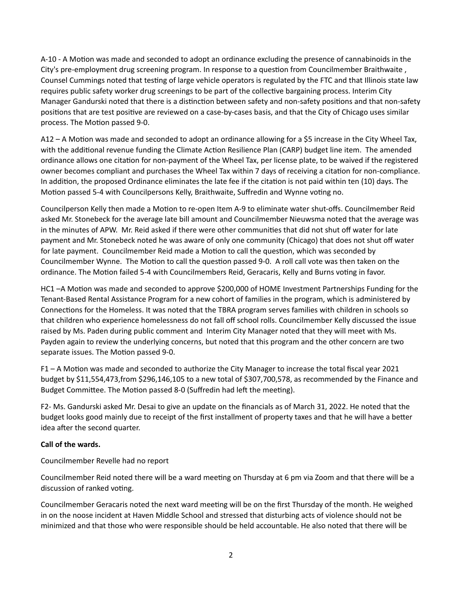A-10 - A Motion was made and seconded to adopt an ordinance excluding the presence of cannabinoids in the City's pre-employment drug screening program. In response to a question from Councilmember Braithwaite, Counsel Cummings noted that testing of large vehicle operators is regulated by the FTC and that Illinois state law requires public safety worker drug screenings to be part of the collective bargaining process. Interim City Manager Gandurski noted that there is a distinction between safety and non-safety positions and that non-safety positions that are test positive are reviewed on a case-by-cases basis, and that the City of Chicago uses similar process. The Motion passed 9-0.

A12 – A Motion was made and seconded to adopt an ordinance allowing for a \$5 increase in the City Wheel Tax, with the additional revenue funding the Climate Action Resilience Plan (CARP) budget line item. The amended ordinance allows one citation for non-payment of the Wheel Tax, per license plate, to be waived if the registered owner becomes compliant and purchases the Wheel Tax within 7 days of receiving a citation for non-compliance. In addition, the proposed Ordinance eliminates the late fee if the citation is not paid within ten (10) days. The Motion passed 5-4 with Councilpersons Kelly, Braithwaite, Suffredin and Wynne voting no.

Councilperson Kelly then made a Motion to re-open Item A-9 to eliminate water shut-offs. Councilmember Reid asked Mr. Stonebeck for the average late bill amount and Councilmember Nieuwsma noted that the average was in the minutes of APW. Mr. Reid asked if there were other communities that did not shut off water for late payment and Mr. Stonebeck noted he was aware of only one community (Chicago) that does not shut off water for late payment. Councilmember Reid made a Motion to call the question, which was seconded by Councilmember Wynne. The Motion to call the question passed 9-0. A roll call vote was then taken on the ordinance. The Motion failed 5-4 with Councilmembers Reid, Geracaris, Kelly and Burns voting in favor.

HC1 -A Motion was made and seconded to approve \$200,000 of HOME Investment Partnerships Funding for the Tenant-Based Rental Assistance Program for a new cohort of families in the program, which is administered by Connections for the Homeless. It was noted that the TBRA program serves families with children in schools so that children who experience homelessness do not fall off school rolls. Councilmember Kelly discussed the issue raised by Ms. Paden during public comment and Interim City Manager noted that they will meet with Ms. Payden again to review the underlying concerns, but noted that this program and the other concern are two separate issues. The Motion passed 9-0.

F1 - A Motion was made and seconded to authorize the City Manager to increase the total fiscal year 2021 budget by \$11,554,473,from \$296,146,105 to a new total of \$307,700,578, as recommended by the Finance and Budget Committee. The Motion passed 8-0 (Suffredin had left the meeting).

F2- Ms. Gandurski asked Mr. Desai to give an update on the financials as of March 31, 2022. He noted that the budget looks good mainly due to receipt of the first installment of property taxes and that he will have a better idea after the second quarter.

# Call of the wards.

Councilmember Revelle had no report

Councilmember Reid noted there will be a ward meeting on Thursday at 6 pm via Zoom and that there will be a discussion of ranked voting.

Councilmember Geracaris noted the next ward meeting will be on the first Thursday of the month. He weighed in on the noose incident at Haven Middle School and stressed that disturbing acts of violence should not be minimized and that those who were responsible should be held accountable. He also noted that there will be